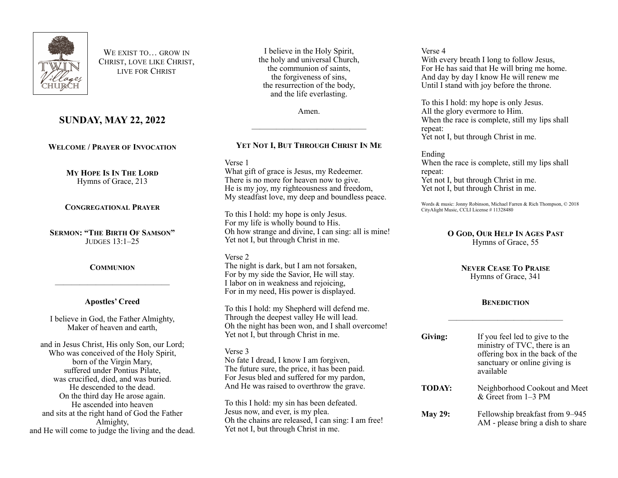

WE EXIST TO **GROW IN** CHRIST, LOVE LIKE CHRIST, LIVE FOR CHRIST

# **SUNDAY, MAY 22, 2022**

**WELCOME / PRAYER OF INVOCATION**

**MY HOPE IS IN THE LORD** Hymns of Grace, 213

**CONGREGATIONAL PRAYER**

**SERMON: "THE BIRTH OF SAMSON"** JUDGES 13:1–25

## **COMMUNION**

——————————————

## **Apostles' Creed**

I believe in God, the Father Almighty, Maker of heaven and earth,

and in Jesus Christ, His only Son, our Lord; Who was conceived of the Holy Spirit, born of the Virgin Mary, suffered under Pontius Pilate, was crucified, died, and was buried. He descended to the dead. On the third day He arose again. He ascended into heaven and sits at the right hand of God the Father Almighty, and He will come to judge the living and the dead.

I believe in the Holy Spirit, the holy and universal Church, the communion of saints, the forgiveness of sins, the resurrection of the body, and the life everlasting.

Amen.

——————————————

# **YET NOT I, BUT THROUGH CHRIST IN ME**

Verse 1

What gift of grace is Jesus, my Redeemer. There is no more for heaven now to give. He is my joy, my righteousness and freedom, My steadfast love, my deep and boundless peace.

To this I hold: my hope is only Jesus. For my life is wholly bound to His. Oh how strange and divine, I can sing: all is mine! Yet not I, but through Christ in me.

### Verse 2

The night is dark, but I am not forsaken, For by my side the Savior, He will stay. I labor on in weakness and rejoicing, For in my need, His power is displayed.

To this I hold: my Shepherd will defend me. Through the deepest valley He will lead. Oh the night has been won, and I shall overcome! Yet not I, but through Christ in me.

Verse 3 No fate I dread, I know I am forgiven, The future sure, the price, it has been paid. For Jesus bled and suffered for my pardon, And He was raised to overthrow the grave.

To this I hold: my sin has been defeated. Jesus now, and ever, is my plea. Oh the chains are released, I can sing: I am free! Yet not I, but through Christ in me.

Verse 4

With every breath I long to follow Jesus, For He has said that He will bring me home. And day by day I know He will renew me Until I stand with joy before the throne.

To this I hold: my hope is only Jesus. All the glory evermore to Him. When the race is complete, still my lips shall repeat: Yet not I, but through Christ in me.

## Ending

When the race is complete, still my lips shall repeat: Yet not I, but through Christ in me. Yet not I, but through Christ in me.

Words & music: Jonny Robinson, Michael Farren & Rich Thompson, © 2018 CityAlight Music, CCLI License # 11328480

### **O GOD, OUR HELP IN AGES PAST** Hymns of Grace, 55

#### **NEVER CEASE TO PRAISE** Hymns of Grace, 341

## **BENEDICTION**

——————————————

| Giving:        | If you feel led to give to the<br>ministry of TVC, there is an<br>offering box in the back of the<br>sanctuary or online giving is<br>available |
|----------------|-------------------------------------------------------------------------------------------------------------------------------------------------|
| TODAY:         | Neighborhood Cookout and Meet<br>$&$ Greet from 1–3 PM                                                                                          |
| <b>May 29:</b> | Fellowship breakfast from 9–945<br>AM - please bring a dish to share                                                                            |